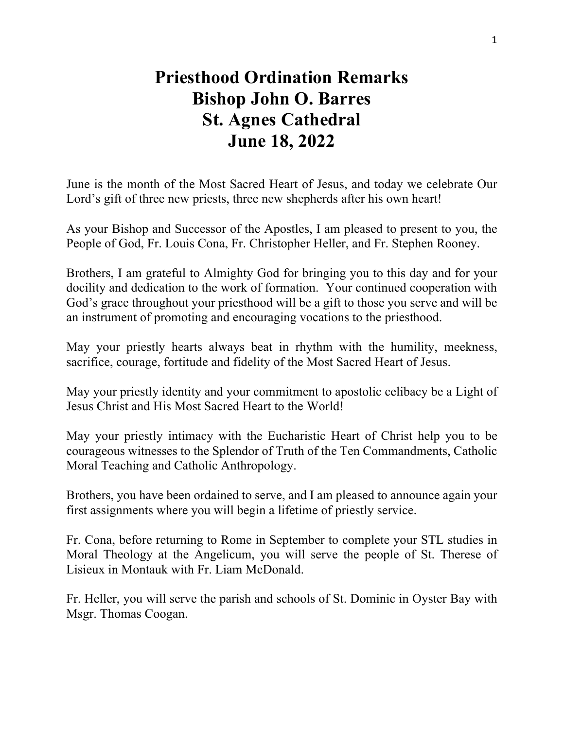## **Priesthood Ordination Remarks Bishop John O. Barres St. Agnes Cathedral June 18, 2022**

June is the month of the Most Sacred Heart of Jesus, and today we celebrate Our Lord's gift of three new priests, three new shepherds after his own heart!

As your Bishop and Successor of the Apostles, I am pleased to present to you, the People of God, Fr. Louis Cona, Fr. Christopher Heller, and Fr. Stephen Rooney.

Brothers, I am grateful to Almighty God for bringing you to this day and for your docility and dedication to the work of formation. Your continued cooperation with God's grace throughout your priesthood will be a gift to those you serve and will be an instrument of promoting and encouraging vocations to the priesthood.

May your priestly hearts always beat in rhythm with the humility, meekness, sacrifice, courage, fortitude and fidelity of the Most Sacred Heart of Jesus.

May your priestly identity and your commitment to apostolic celibacy be a Light of Jesus Christ and His Most Sacred Heart to the World!

May your priestly intimacy with the Eucharistic Heart of Christ help you to be courageous witnesses to the Splendor of Truth of the Ten Commandments, Catholic Moral Teaching and Catholic Anthropology.

Brothers, you have been ordained to serve, and I am pleased to announce again your first assignments where you will begin a lifetime of priestly service.

Fr. Cona, before returning to Rome in September to complete your STL studies in Moral Theology at the Angelicum, you will serve the people of St. Therese of Lisieux in Montauk with Fr. Liam McDonald.

Fr. Heller, you will serve the parish and schools of St. Dominic in Oyster Bay with Msgr. Thomas Coogan.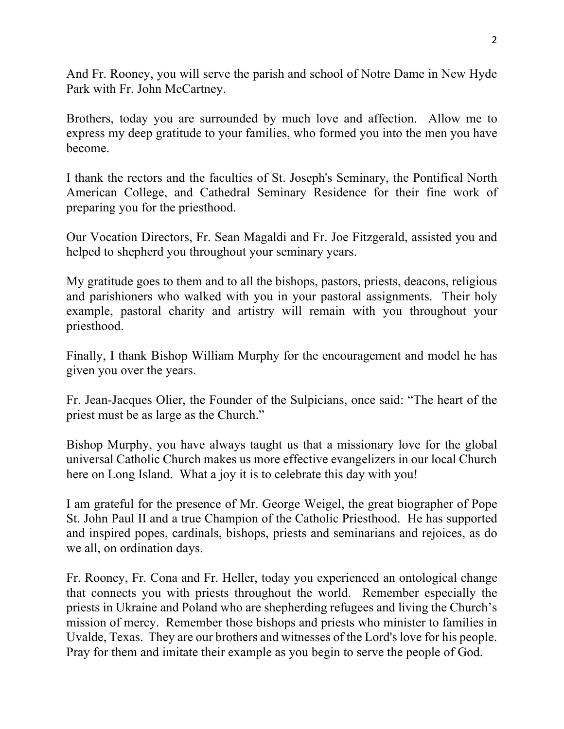And Fr. Rooney, you will serve the parish and school of Notre Dame in New Hyde Park with Fr. John McCartney.

Brothers, today you are surrounded by much love and affection. Allow me to express my deep gratitude to your families, who formed you into the men you have become.

I thank the rectors and the faculties of St. Joseph's Seminary, the Pontifical North American College, and Cathedral Seminary Residence for their fine work of preparing you for the priesthood.

Our Vocation Directors, Fr. Sean Magaldi and Fr. Joe Fitzgerald, assisted you and helped to shepherd you throughout your seminary years.

My gratitude goes to them and to all the bishops, pastors, priests, deacons, religious and parishioners who walked with you in your pastoral assignments. Their holy example, pastoral charity and artistry will remain with you throughout your priesthood.

Finally, I thank Bishop William Murphy for the encouragement and model he has given you over the years.

Fr. Jean-Jacques Olier, the Founder of the Sulpicians, once said: "The heart of the priest must be as large as the Church."

Bishop Murphy, you have always taught us that a missionary love for the global universal Catholic Church makes us more effective evangelizers in our local Church here on Long Island. What a joy it is to celebrate this day with you!

I am grateful for the presence of Mr. George Weigel, the great biographer of Pope St. John Paul II and a true Champion of the Catholic Priesthood. He has supported and inspired popes, cardinals, bishops, priests and seminarians and rejoices, as do we all, on ordination days.

Fr. Rooney, Fr. Cona and Fr. Heller, today you experienced an ontological change that connects you with priests throughout the world. Remember especially the priests in Ukraine and Poland who are shepherding refugees and living the Church's mission of mercy. Remember those bishops and priests who minister to families in Uvalde, Texas. They are our brothers and witnesses of the Lord's love for his people. Pray for them and imitate their example as you begin to serve the people of God.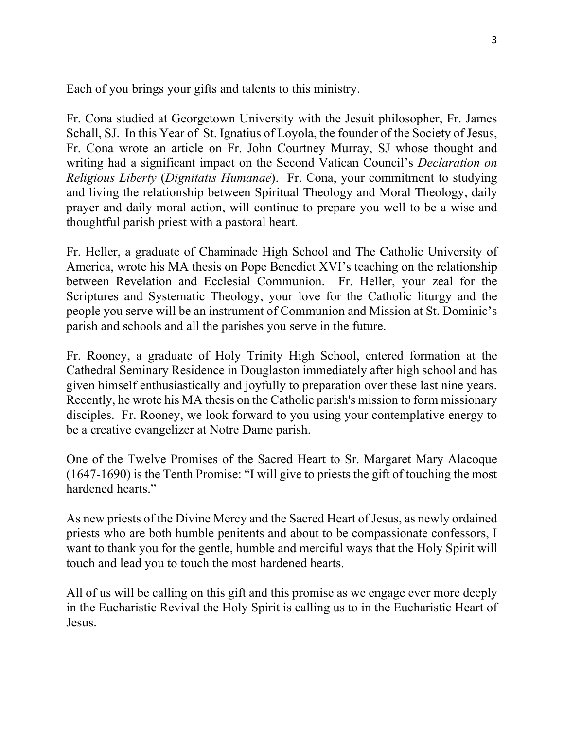Each of you brings your gifts and talents to this ministry.

Fr. Cona studied at Georgetown University with the Jesuit philosopher, Fr. James Schall, SJ. In this Year of St. Ignatius of Loyola, the founder of the Society of Jesus, Fr. Cona wrote an article on Fr. John Courtney Murray, SJ whose thought and writing had a significant impact on the Second Vatican Council's *Declaration on Religious Liberty* (*Dignitatis Humanae*). Fr. Cona, your commitment to studying and living the relationship between Spiritual Theology and Moral Theology, daily prayer and daily moral action, will continue to prepare you well to be a wise and thoughtful parish priest with a pastoral heart.

Fr. Heller, a graduate of Chaminade High School and The Catholic University of America, wrote his MA thesis on Pope Benedict XVI's teaching on the relationship between Revelation and Ecclesial Communion. Fr. Heller, your zeal for the Scriptures and Systematic Theology, your love for the Catholic liturgy and the people you serve will be an instrument of Communion and Mission at St. Dominic's parish and schools and all the parishes you serve in the future.

Fr. Rooney, a graduate of Holy Trinity High School, entered formation at the Cathedral Seminary Residence in Douglaston immediately after high school and has given himself enthusiastically and joyfully to preparation over these last nine years. Recently, he wrote his MA thesis on the Catholic parish's mission to form missionary disciples. Fr. Rooney, we look forward to you using your contemplative energy to be a creative evangelizer at Notre Dame parish.

One of the Twelve Promises of the Sacred Heart to Sr. Margaret Mary Alacoque (1647-1690) is the Tenth Promise: "I will give to priests the gift of touching the most hardened hearts."

As new priests of the Divine Mercy and the Sacred Heart of Jesus, as newly ordained priests who are both humble penitents and about to be compassionate confessors, I want to thank you for the gentle, humble and merciful ways that the Holy Spirit will touch and lead you to touch the most hardened hearts.

All of us will be calling on this gift and this promise as we engage ever more deeply in the Eucharistic Revival the Holy Spirit is calling us to in the Eucharistic Heart of Jesus.